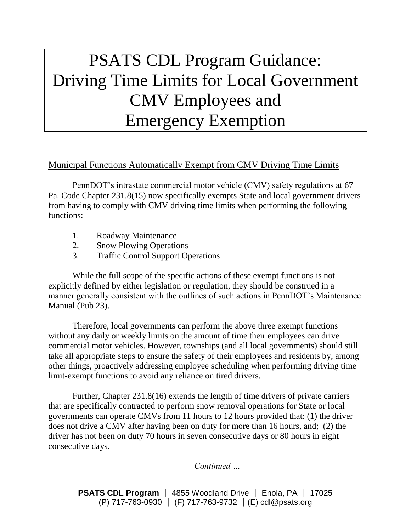# PSATS CDL Program Guidance: Driving Time Limits for Local Government CMV Employees and Emergency Exemption

# Municipal Functions Automatically Exempt from CMV Driving Time Limits

PennDOT's intrastate commercial motor vehicle (CMV) safety regulations at 67 Pa. Code Chapter 231.8(15) now specifically exempts State and local government drivers from having to comply with CMV driving time limits when performing the following functions:

- 1. Roadway Maintenance
- 2. Snow Plowing Operations
- 3. Traffic Control Support Operations

While the full scope of the specific actions of these exempt functions is not explicitly defined by either legislation or regulation, they should be construed in a manner generally consistent with the outlines of such actions in PennDOT's Maintenance Manual (Pub 23).

Therefore, local governments can perform the above three exempt functions without any daily or weekly limits on the amount of time their employees can drive commercial motor vehicles. However, townships (and all local governments) should still take all appropriate steps to ensure the safety of their employees and residents by, among other things, proactively addressing employee scheduling when performing driving time limit-exempt functions to avoid any reliance on tired drivers.

Further, Chapter 231.8(16) extends the length of time drivers of private carriers that are specifically contracted to perform snow removal operations for State or local governments can operate CMVs from 11 hours to 12 hours provided that: (1) the driver does not drive a CMV after having been on duty for more than 16 hours, and; (2) the driver has not been on duty 70 hours in seven consecutive days or 80 hours in eight consecutive days.

*Continued …*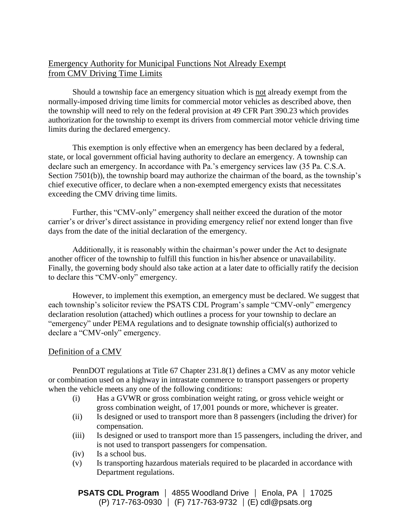## Emergency Authority for Municipal Functions Not Already Exempt from CMV Driving Time Limits

Should a township face an emergency situation which is not already exempt from the normally-imposed driving time limits for commercial motor vehicles as described above, then the township will need to rely on the federal provision at 49 CFR Part 390.23 which provides authorization for the township to exempt its drivers from commercial motor vehicle driving time limits during the declared emergency.

This exemption is only effective when an emergency has been declared by a federal, state, or local government official having authority to declare an emergency. A township can declare such an emergency. In accordance with Pa.'s emergency services law (35 Pa. C.S.A. Section 7501(b)), the township board may authorize the chairman of the board, as the township's chief executive officer, to declare when a non-exempted emergency exists that necessitates exceeding the CMV driving time limits.

Further, this "CMV-only" emergency shall neither exceed the duration of the motor carrier's or driver's direct assistance in providing emergency relief nor extend longer than five days from the date of the initial declaration of the emergency.

Additionally, it is reasonably within the chairman's power under the Act to designate another officer of the township to fulfill this function in his/her absence or unavailability. Finally, the governing body should also take action at a later date to officially ratify the decision to declare this "CMV-only" emergency.

However, to implement this exemption, an emergency must be declared. We suggest that each township's solicitor review the PSATS CDL Program's sample "CMV-only" emergency declaration resolution (attached) which outlines a process for your township to declare an "emergency" under PEMA regulations and to designate township official(s) authorized to declare a "CMV-only" emergency.

#### Definition of a CMV

PennDOT regulations at Title 67 Chapter 231.8(1) defines a CMV as any motor vehicle or combination used on a highway in intrastate commerce to transport passengers or property when the vehicle meets any one of the following conditions:

- (i) Has a GVWR or gross combination weight rating, or gross vehicle weight or gross combination weight, of 17,001 pounds or more, whichever is greater.
- (ii) Is designed or used to transport more than 8 passengers (including the driver) for compensation.
- (iii) Is designed or used to transport more than 15 passengers, including the driver, and is not used to transport passengers for compensation.
- (iv) Is a school bus.
- (v) Is transporting hazardous materials required to be placarded in accordance with Department regulations.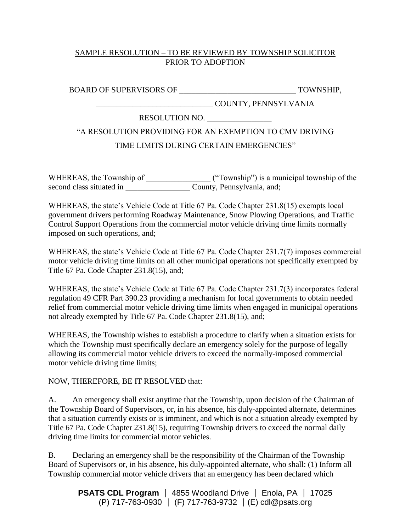#### SAMPLE RESOLUTION – TO BE REVIEWED BY TOWNSHIP SOLICITOR PRIOR TO ADOPTION

BOARD OF SUPERVISORS OF \_\_\_\_\_\_\_\_\_\_\_\_\_\_\_\_\_\_\_\_\_\_\_\_\_\_\_\_\_ TOWNSHIP,

# RESOLUTION NO. \_\_\_\_\_\_\_\_\_\_\_\_\_\_\_\_

# "A RESOLUTION PROVIDING FOR AN EXEMPTION TO CMV DRIVING

\_\_\_\_\_\_\_\_\_\_\_\_\_\_\_\_\_\_\_\_\_\_\_\_\_\_\_\_\_ COUNTY, PENNSYLVANIA

## TIME LIMITS DURING CERTAIN EMERGENCIES"

WHEREAS, the Township of  $($ "Township") is a municipal township of the second class situated in \_\_\_\_\_\_\_\_\_\_\_\_\_\_\_\_\_\_\_\_\_\_\_ County, Pennsylvania, and;

WHEREAS, the state's Vehicle Code at Title 67 Pa. Code Chapter 231.8(15) exempts local government drivers performing Roadway Maintenance, Snow Plowing Operations, and Traffic Control Support Operations from the commercial motor vehicle driving time limits normally imposed on such operations, and;

WHEREAS, the state's Vehicle Code at Title 67 Pa. Code Chapter 231.7(7) imposes commercial motor vehicle driving time limits on all other municipal operations not specifically exempted by Title 67 Pa. Code Chapter 231.8(15), and;

WHEREAS, the state's Vehicle Code at Title 67 Pa. Code Chapter 231.7(3) incorporates federal regulation 49 CFR Part 390.23 providing a mechanism for local governments to obtain needed relief from commercial motor vehicle driving time limits when engaged in municipal operations not already exempted by Title 67 Pa. Code Chapter 231.8(15), and;

WHEREAS, the Township wishes to establish a procedure to clarify when a situation exists for which the Township must specifically declare an emergency solely for the purpose of legally allowing its commercial motor vehicle drivers to exceed the normally-imposed commercial motor vehicle driving time limits;

#### NOW, THEREFORE, BE IT RESOLVED that:

A. An emergency shall exist anytime that the Township, upon decision of the Chairman of the Township Board of Supervisors, or, in his absence, his duly-appointed alternate, determines that a situation currently exists or is imminent, and which is not a situation already exempted by Title 67 Pa. Code Chapter 231.8(15), requiring Township drivers to exceed the normal daily driving time limits for commercial motor vehicles.

B. Declaring an emergency shall be the responsibility of the Chairman of the Township Board of Supervisors or, in his absence, his duly-appointed alternate, who shall: (1) Inform all Township commercial motor vehicle drivers that an emergency has been declared which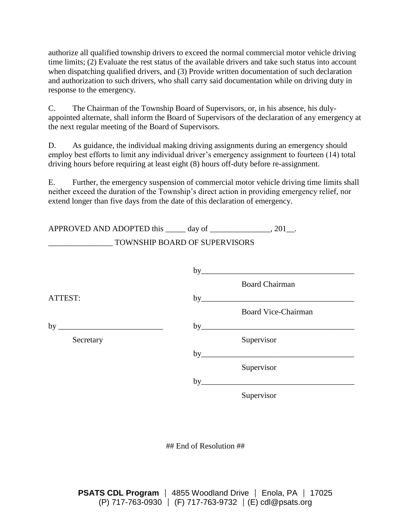authorize all qualified township drivers to exceed the normal commercial motor vehicle driving time limits; (2) Evaluate the rest status of the available drivers and take such status into account when dispatching qualified drivers, and (3) Provide written documentation of such declaration and authorization to such drivers, who shall carry said documentation while on driving duty in response to the emergency.

C. The Chairman of the Township Board of Supervisors, or, in his absence, his dulyappointed alternate, shall inform the Board of Supervisors of the declaration of any emergency at the next regular meeting of the Board of Supervisors.

D. As guidance, the individual making driving assignments during an emergency should employ best efforts to limit any individual driver's emergency assignment to fourteen (14) total driving hours before requiring at least eight (8) hours off-duty before re-assignment.

E. Further, the emergency suspension of commercial motor vehicle driving time limits shall neither exceed the duration of the Township's direct action in providing emergency relief, nor extend longer than five days from the date of this declaration of emergency.

| APPROVED AND ADOPTED this ______ day of ________________, 201__. |                               |                            |
|------------------------------------------------------------------|-------------------------------|----------------------------|
|                                                                  | TOWNSHIP BOARD OF SUPERVISORS |                            |
|                                                                  |                               |                            |
|                                                                  |                               | by                         |
|                                                                  |                               | <b>Board Chairman</b>      |
| ATTEST:                                                          |                               |                            |
|                                                                  |                               | <b>Board Vice-Chairman</b> |
| by $\overline{\phantom{a}}$                                      |                               | by                         |
| Secretary                                                        |                               | Supervisor                 |
|                                                                  | by                            |                            |
|                                                                  |                               | Supervisor                 |
|                                                                  | by                            |                            |

Supervisor

## End of Resolution ##